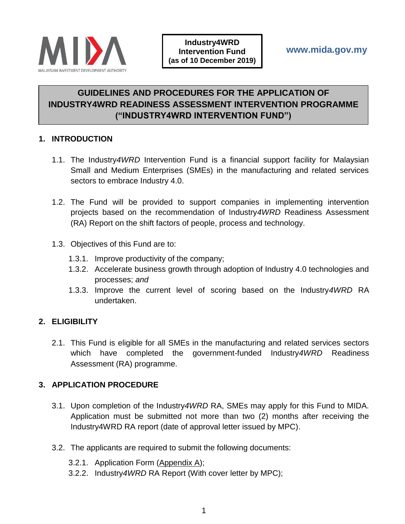

# **GUIDELINES AND PROCEDURES FOR THE APPLICATION OF INDUSTRY4WRD READINESS ASSESSMENT INTERVENTION PROGRAMME ("INDUSTRY4WRD INTERVENTION FUND")**

### **1. INTRODUCTION**

- 1.1. The Industry*4WRD* Intervention Fund is a financial support facility for Malaysian Small and Medium Enterprises (SMEs) in the manufacturing and related services sectors to embrace Industry 4.0.
- 1.2. The Fund will be provided to support companies in implementing intervention projects based on the recommendation of Industry*4WRD* Readiness Assessment (RA) Report on the shift factors of people, process and technology.
- 1.3. Objectives of this Fund are to:
	- 1.3.1. Improve productivity of the company;
	- 1.3.2. Accelerate business growth through adoption of Industry 4.0 technologies and processes; *and*
	- 1.3.3. Improve the current level of scoring based on the Industry*4WRD* RA undertaken.

# **2. ELIGIBILITY**

2.1. This Fund is eligible for all SMEs in the manufacturing and related services sectors which have completed the government-funded Industry*4WRD* Readiness Assessment (RA) programme.

# **3. APPLICATION PROCEDURE**

- 3.1. Upon completion of the Industry*4WRD* RA, SMEs may apply for this Fund to MIDA. Application must be submitted not more than two (2) months after receiving the Industry4WRD RA report (date of approval letter issued by MPC).
- 3.2. The applicants are required to submit the following documents:
	- 3.2.1. Application Form (Appendix A);
	- 3.2.2. Industry*4WRD* RA Report (With cover letter by MPC);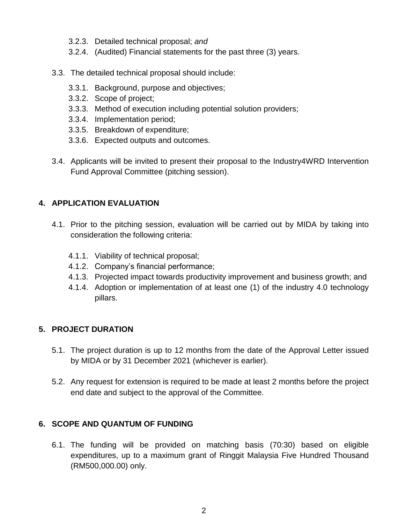- 3.2.3. Detailed technical proposal; *and*
- 3.2.4. (Audited) Financial statements for the past three (3) years.
- 3.3. The detailed technical proposal should include:
	- 3.3.1. Background, purpose and objectives;
	- 3.3.2. Scope of project;
	- 3.3.3. Method of execution including potential solution providers;
	- 3.3.4. Implementation period;
	- 3.3.5. Breakdown of expenditure;
	- 3.3.6. Expected outputs and outcomes.
- 3.4. Applicants will be invited to present their proposal to the Industry4WRD Intervention Fund Approval Committee (pitching session).

# **4. APPLICATION EVALUATION**

- 4.1. Prior to the pitching session, evaluation will be carried out by MIDA by taking into consideration the following criteria:
	- 4.1.1. Viability of technical proposal;
	- 4.1.2. Company's financial performance;
	- 4.1.3. Projected impact towards productivity improvement and business growth; and
	- 4.1.4. Adoption or implementation of at least one (1) of the industry 4.0 technology pillars.

# **5. PROJECT DURATION**

- 5.1. The project duration is up to 12 months from the date of the Approval Letter issued by MIDA or by 31 December 2021 (whichever is earlier).
- 5.2. Any request for extension is required to be made at least 2 months before the project end date and subject to the approval of the Committee.

# **6. SCOPE AND QUANTUM OF FUNDING**

6.1. The funding will be provided on matching basis (70:30) based on eligible expenditures, up to a maximum grant of Ringgit Malaysia Five Hundred Thousand (RM500,000.00) only.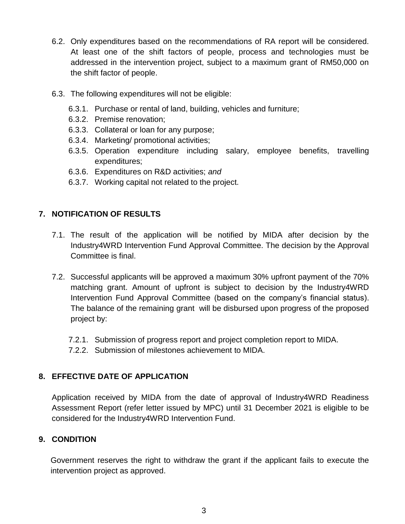- 6.2. Only expenditures based on the recommendations of RA report will be considered. At least one of the shift factors of people, process and technologies must be addressed in the intervention project, subject to a maximum grant of RM50,000 on the shift factor of people.
- 6.3. The following expenditures will not be eligible:
	- 6.3.1. Purchase or rental of land, building, vehicles and furniture;
	- 6.3.2. Premise renovation;
	- 6.3.3. Collateral or loan for any purpose;
	- 6.3.4. Marketing/ promotional activities;
	- 6.3.5. Operation expenditure including salary, employee benefits, travelling expenditures;
	- 6.3.6. Expenditures on R&D activities; *and*
	- 6.3.7. Working capital not related to the project.

# **7. NOTIFICATION OF RESULTS**

- 7.1. The result of the application will be notified by MIDA after decision by the Industry4WRD Intervention Fund Approval Committee. The decision by the Approval Committee is final.
- 7.2. Successful applicants will be approved a maximum 30% upfront payment of the 70% matching grant. Amount of upfront is subject to decision by the Industry4WRD Intervention Fund Approval Committee (based on the company's financial status). The balance of the remaining grant will be disbursed upon progress of the proposed project by:
	- 7.2.1. Submission of progress report and project completion report to MIDA.
	- 7.2.2. Submission of milestones achievement to MIDA.

# **8. EFFECTIVE DATE OF APPLICATION**

Application received by MIDA from the date of approval of Industry4WRD Readiness Assessment Report (refer letter issued by MPC) until 31 December 2021 is eligible to be considered for the Industry4WRD Intervention Fund.

# **9. CONDITION**

Government reserves the right to withdraw the grant if the applicant fails to execute the intervention project as approved.